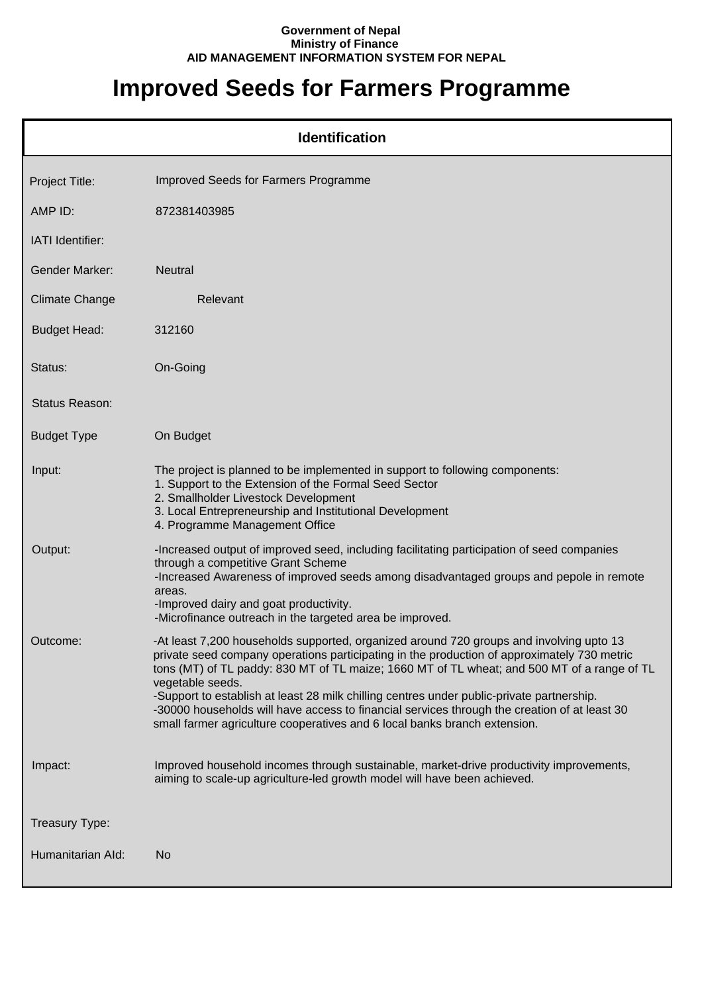## **Government of Nepal Ministry of Finance AID MANAGEMENT INFORMATION SYSTEM FOR NEPAL**

## **Improved Seeds for Farmers Programme**

| <b>Identification</b> |                                                                                                                                                                                                                                                                                                                                                                                                                                                                                                                                                                                     |  |
|-----------------------|-------------------------------------------------------------------------------------------------------------------------------------------------------------------------------------------------------------------------------------------------------------------------------------------------------------------------------------------------------------------------------------------------------------------------------------------------------------------------------------------------------------------------------------------------------------------------------------|--|
| Project Title:        | Improved Seeds for Farmers Programme                                                                                                                                                                                                                                                                                                                                                                                                                                                                                                                                                |  |
| AMP ID:               | 872381403985                                                                                                                                                                                                                                                                                                                                                                                                                                                                                                                                                                        |  |
| IATI Identifier:      |                                                                                                                                                                                                                                                                                                                                                                                                                                                                                                                                                                                     |  |
| Gender Marker:        | <b>Neutral</b>                                                                                                                                                                                                                                                                                                                                                                                                                                                                                                                                                                      |  |
| <b>Climate Change</b> | Relevant                                                                                                                                                                                                                                                                                                                                                                                                                                                                                                                                                                            |  |
| <b>Budget Head:</b>   | 312160                                                                                                                                                                                                                                                                                                                                                                                                                                                                                                                                                                              |  |
| Status:               | On-Going                                                                                                                                                                                                                                                                                                                                                                                                                                                                                                                                                                            |  |
| <b>Status Reason:</b> |                                                                                                                                                                                                                                                                                                                                                                                                                                                                                                                                                                                     |  |
| <b>Budget Type</b>    | On Budget                                                                                                                                                                                                                                                                                                                                                                                                                                                                                                                                                                           |  |
| Input:                | The project is planned to be implemented in support to following components:<br>1. Support to the Extension of the Formal Seed Sector<br>2. Smallholder Livestock Development<br>3. Local Entrepreneurship and Institutional Development<br>4. Programme Management Office                                                                                                                                                                                                                                                                                                          |  |
| Output:               | -Increased output of improved seed, including facilitating participation of seed companies<br>through a competitive Grant Scheme<br>-Increased Awareness of improved seeds among disadvantaged groups and pepole in remote<br>areas.<br>-Improved dairy and goat productivity.<br>-Microfinance outreach in the targeted area be improved.                                                                                                                                                                                                                                          |  |
| Outcome:              | -At least 7,200 households supported, organized around 720 groups and involving upto 13<br>private seed company operations participating in the production of approximately 730 metric<br>tons (MT) of TL paddy: 830 MT of TL maize; 1660 MT of TL wheat; and 500 MT of a range of TL<br>vegetable seeds.<br>-Support to establish at least 28 milk chilling centres under public-private partnership.<br>-30000 households will have access to financial services through the creation of at least 30<br>small farmer agriculture cooperatives and 6 local banks branch extension. |  |
| Impact:               | Improved household incomes through sustainable, market-drive productivity improvements,<br>aiming to scale-up agriculture-led growth model will have been achieved.                                                                                                                                                                                                                                                                                                                                                                                                                 |  |
| Treasury Type:        |                                                                                                                                                                                                                                                                                                                                                                                                                                                                                                                                                                                     |  |
| Humanitarian Ald:     | N <sub>o</sub>                                                                                                                                                                                                                                                                                                                                                                                                                                                                                                                                                                      |  |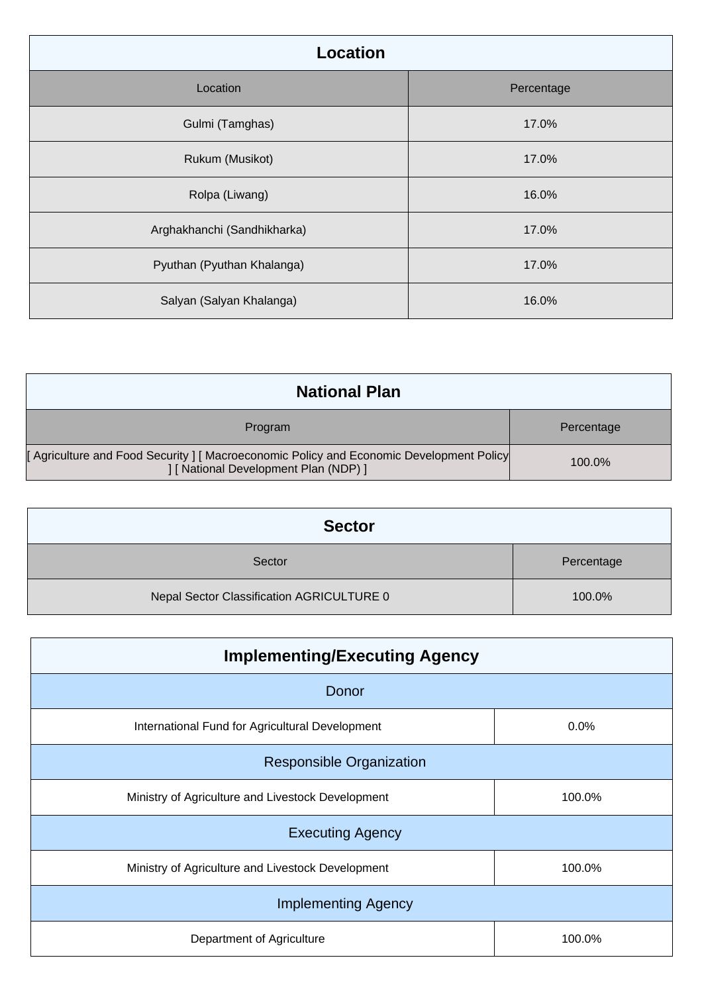| Location                    |            |
|-----------------------------|------------|
| Location                    | Percentage |
| Gulmi (Tamghas)             | 17.0%      |
| Rukum (Musikot)             | 17.0%      |
| Rolpa (Liwang)              | 16.0%      |
| Arghakhanchi (Sandhikharka) | 17.0%      |
| Pyuthan (Pyuthan Khalanga)  | 17.0%      |
| Salyan (Salyan Khalanga)    | 16.0%      |

| <b>National Plan</b>                                                                                                            |            |
|---------------------------------------------------------------------------------------------------------------------------------|------------|
| Program                                                                                                                         | Percentage |
| [Agriculture and Food Security ] [Macroeconomic Policy and Economic Development Policy<br>] [ National Development Plan (NDP) ] | $100.0\%$  |

| <b>Sector</b>                             |            |
|-------------------------------------------|------------|
| Sector                                    | Percentage |
| Nepal Sector Classification AGRICULTURE 0 | 100.0%     |

| <b>Implementing/Executing Agency</b>              |        |  |  |
|---------------------------------------------------|--------|--|--|
| Donor                                             |        |  |  |
| International Fund for Agricultural Development   | 0.0%   |  |  |
| <b>Responsible Organization</b>                   |        |  |  |
| Ministry of Agriculture and Livestock Development | 100.0% |  |  |
| <b>Executing Agency</b>                           |        |  |  |
| Ministry of Agriculture and Livestock Development | 100.0% |  |  |
| <b>Implementing Agency</b>                        |        |  |  |
| Department of Agriculture                         | 100.0% |  |  |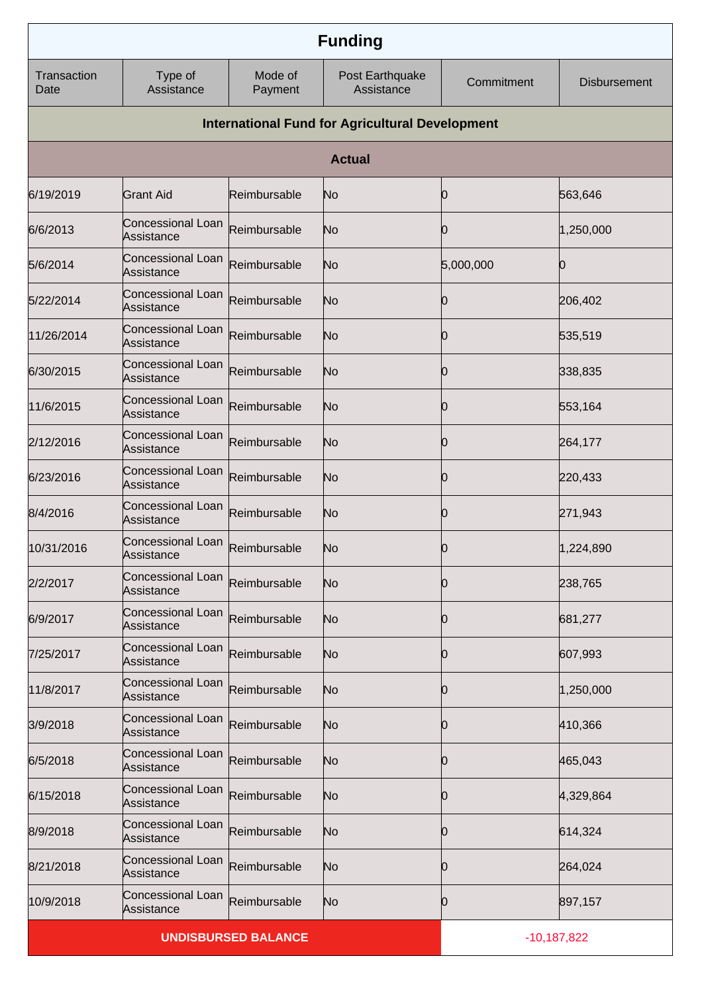|                     |                                              |                    | <b>Funding</b>                                         |            |                     |
|---------------------|----------------------------------------------|--------------------|--------------------------------------------------------|------------|---------------------|
| Transaction<br>Date | Type of<br>Assistance                        | Mode of<br>Payment | Post Earthquake<br>Assistance                          | Commitment | <b>Disbursement</b> |
|                     |                                              |                    | <b>International Fund for Agricultural Development</b> |            |                     |
|                     |                                              |                    | <b>Actual</b>                                          |            |                     |
| 6/19/2019           | <b>Grant Aid</b>                             | Reimbursable       | No                                                     | Ю          | 563,646             |
| 6/6/2013            | Concessional Loan<br>Assistance              | Reimbursable       | No                                                     | 10         | 1,250,000           |
| 5/6/2014            | Concessional Loan<br>Assistance              | Reimbursable       | No                                                     | 5,000,000  | Ю                   |
| 5/22/2014           | Concessional Loan<br>Assistance              | Reimbursable       | No                                                     | 0          | 206,402             |
| 11/26/2014          | Concessional Loan<br>Assistance              | Reimbursable       | No                                                     | 0          | 535,519             |
| 6/30/2015           | Concessional Loan<br>Assistance              | Reimbursable       | No                                                     | Ю          | 338,835             |
| 11/6/2015           | Concessional Loan<br>Assistance              | Reimbursable       | No                                                     | 0          | 553,164             |
| 2/12/2016           | Concessional Loan<br>Assistance              | Reimbursable       | No                                                     | 0          | 264,177             |
| 6/23/2016           | Concessional Loan<br>Assistance              | Reimbursable       | No                                                     | 0          | 220,433             |
| 8/4/2016            | Concessional Loan<br>Assistance              | Reimbursable       | No                                                     | 0          | 271,943             |
| 10/31/2016          | Concessional Loan Reimbursable<br>Assistance |                    | No                                                     | 0          | 1,224,890           |
| 2/2/2017            | Concessional Loan<br>Assistance              | Reimbursable       | N <sub>o</sub>                                         | 0          | 238,765             |
| 6/9/2017            | Concessional Loan<br>Assistance              | Reimbursable       | N <sub>o</sub>                                         | Ю          | 681,277             |
| 7/25/2017           | Concessional Loan<br>Assistance              | Reimbursable       | N <sub>o</sub>                                         | Ю          | 607,993             |
| 11/8/2017           | Concessional Loan<br>Assistance              | Reimbursable       | N <sub>o</sub>                                         | Ю          | 1,250,000           |
| 3/9/2018            | Concessional Loan<br>Assistance              | Reimbursable       | N <sub>o</sub>                                         | Ю          | 410,366             |
| 6/5/2018            | Concessional Loan<br>Assistance              | Reimbursable       | N <sub>o</sub>                                         | Ю          | 465,043             |
| 6/15/2018           | Concessional Loan<br>Assistance              | Reimbursable       | N <sub>o</sub>                                         | Ю          | 4,329,864           |
| 8/9/2018            | Concessional Loan<br>Assistance              | Reimbursable       | N <sub>o</sub>                                         | Ю          | 614,324             |
| 8/21/2018           | Concessional Loan<br>Assistance              | Reimbursable       | N <sub>o</sub>                                         | Ю          | 264,024             |
| 10/9/2018           | Concessional Loan<br>Assistance              | Reimbursable       | N <sub>o</sub>                                         | Ю          | 897,157             |
|                     | <b>UNDISBURSED BALANCE</b>                   |                    |                                                        |            | $-10,187,822$       |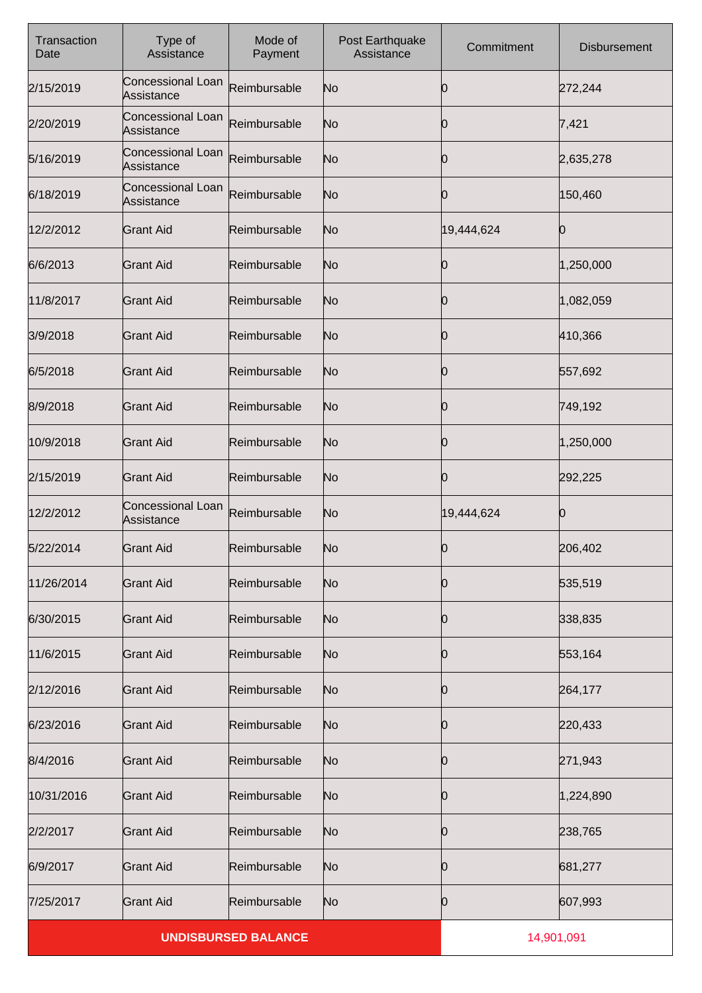| Transaction<br>Date        | Type of<br>Assistance                        | Mode of<br>Payment | Post Earthquake<br>Assistance | Commitment | <b>Disbursement</b> |
|----------------------------|----------------------------------------------|--------------------|-------------------------------|------------|---------------------|
| 2/15/2019                  | Concessional Loan Reimbursable<br>Assistance |                    | No                            | Ю          | 272,244             |
| 2/20/2019                  | Concessional Loan Reimbursable<br>Assistance |                    | No                            | 0          | 7,421               |
| 5/16/2019                  | Concessional Loan Reimbursable<br>Assistance |                    | No                            | Ю          | 2,635,278           |
| 6/18/2019                  | Concessional Loan Reimbursable<br>Assistance |                    | No                            | 0          | 150,460             |
| 12/2/2012                  | <b>Grant Aid</b>                             | Reimbursable       | No                            | 19,444,624 | Ю                   |
| 6/6/2013                   | <b>Grant Aid</b>                             | Reimbursable       | No                            | 0          | 1,250,000           |
| 11/8/2017                  | <b>Grant Aid</b>                             | Reimbursable       | No                            | 0          | 1,082,059           |
| 3/9/2018                   | <b>Grant Aid</b>                             | Reimbursable       | No                            | 0          | 410,366             |
| 6/5/2018                   | <b>Grant Aid</b>                             | Reimbursable       | No                            | Ŋ          | 557,692             |
| 8/9/2018                   | <b>Grant Aid</b>                             | Reimbursable       | No                            | 0          | 749,192             |
| 10/9/2018                  | <b>Grant Aid</b>                             | Reimbursable       | No                            | 0          | 1,250,000           |
| 2/15/2019                  | <b>Grant Aid</b>                             | Reimbursable       | No                            | 0          | 292,225             |
| 12/2/2012                  | Concessional Loan<br>Assistance              | Reimbursable       | No                            | 19,444,624 | Ю                   |
| 5/22/2014                  | <b>Grant Aid</b>                             | Reimbursable       | No                            | 0          | 206,402             |
| 11/26/2014                 | <b>Grant Aid</b>                             | Reimbursable       | No                            | 0          | 535,519             |
| 6/30/2015                  | <b>Grant Aid</b>                             | Reimbursable       | No                            | 10         | 338,835             |
| 11/6/2015                  | <b>Grant Aid</b>                             | Reimbursable       | No                            | 0          | 553,164             |
| 2/12/2016                  | <b>Grant Aid</b>                             | Reimbursable       | No                            | 0          | 264,177             |
| 6/23/2016                  | <b>Grant Aid</b>                             | Reimbursable       | No                            | 10         | 220,433             |
| 8/4/2016                   | <b>Grant Aid</b>                             | Reimbursable       | No                            | 10         | 271,943             |
| 10/31/2016                 | <b>Grant Aid</b>                             | Reimbursable       | No                            | 10         | 1,224,890           |
| 2/2/2017                   | <b>Grant Aid</b>                             | Reimbursable       | No                            | 0          | 238,765             |
| 6/9/2017                   | <b>Grant Aid</b>                             | Reimbursable       | No                            | 0          | 681,277             |
| 7/25/2017                  | <b>Grant Aid</b>                             | Reimbursable       | No                            | Ŋ          | 607,993             |
| <b>UNDISBURSED BALANCE</b> |                                              |                    | 14,901,091                    |            |                     |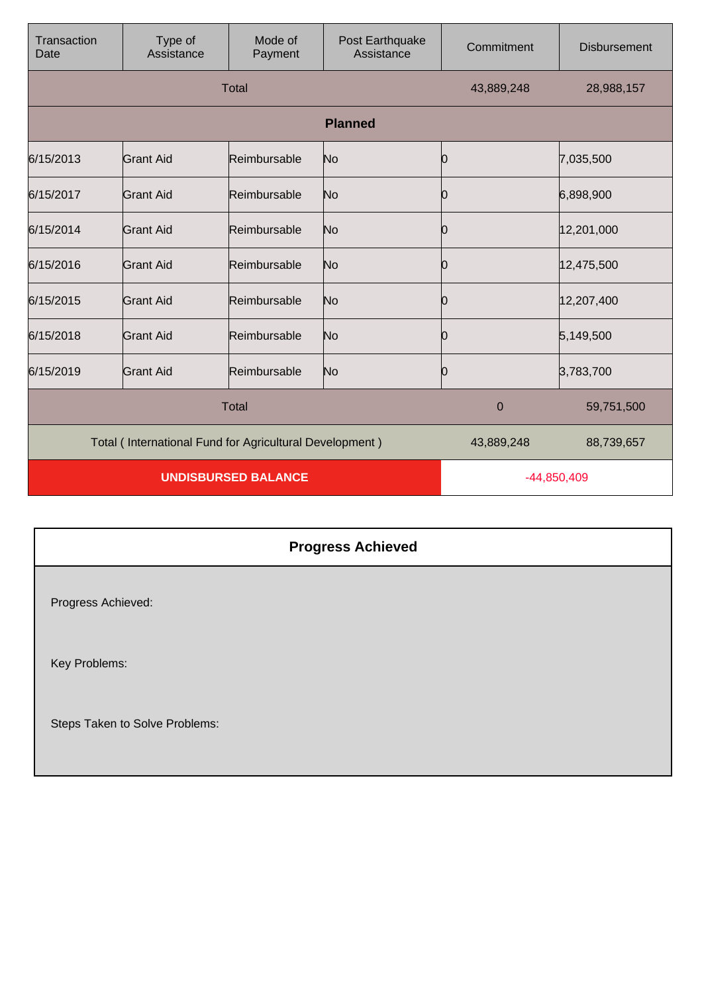| Transaction<br>Date                                     | Type of<br>Assistance | Mode of<br>Payment | Post Earthquake<br>Assistance | Commitment | <b>Disbursement</b> |
|---------------------------------------------------------|-----------------------|--------------------|-------------------------------|------------|---------------------|
|                                                         |                       | <b>Total</b>       |                               | 43,889,248 | 28,988,157          |
|                                                         |                       |                    | <b>Planned</b>                |            |                     |
| 6/15/2013                                               | Grant Aid             | Reimbursable       | No                            | Ю          | 7,035,500           |
| 6/15/2017                                               | <b>Grant Aid</b>      | Reimbursable       | No                            | Ŋ          | 6,898,900           |
| 6/15/2014                                               | Grant Aid             | Reimbursable       | No                            | Ŋ          | 12,201,000          |
| 6/15/2016                                               | <b>Grant Aid</b>      | Reimbursable       | No                            | n          | 12,475,500          |
| 6/15/2015                                               | <b>Grant Aid</b>      | Reimbursable       | No                            | Ю          | 12,207,400          |
| 6/15/2018                                               | <b>Grant Aid</b>      | Reimbursable       | No                            | O          | 5,149,500           |
| 6/15/2019                                               | <b>Grant Aid</b>      | Reimbursable       | No                            | Ŋ          | 3,783,700           |
| <b>Total</b>                                            |                       |                    | $\overline{0}$                | 59,751,500 |                     |
| Total (International Fund for Agricultural Development) |                       |                    | 43,889,248                    | 88,739,657 |                     |
| <b>UNDISBURSED BALANCE</b>                              |                       |                    | $-44,850,409$                 |            |                     |

## **Progress Achieved**

Progress Achieved:

Key Problems:

Steps Taken to Solve Problems: